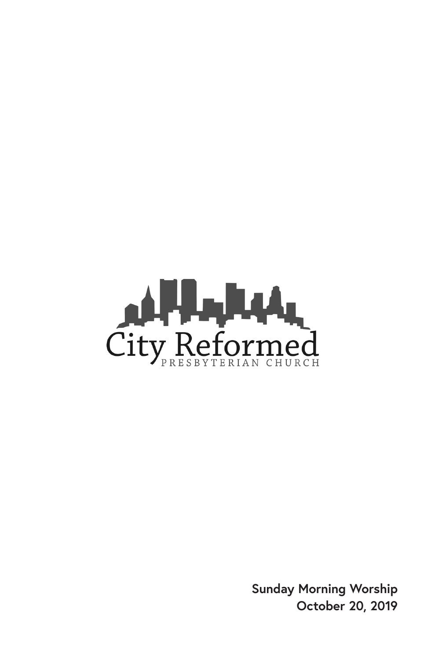

**Sunday Morning Worship October 20, 2019**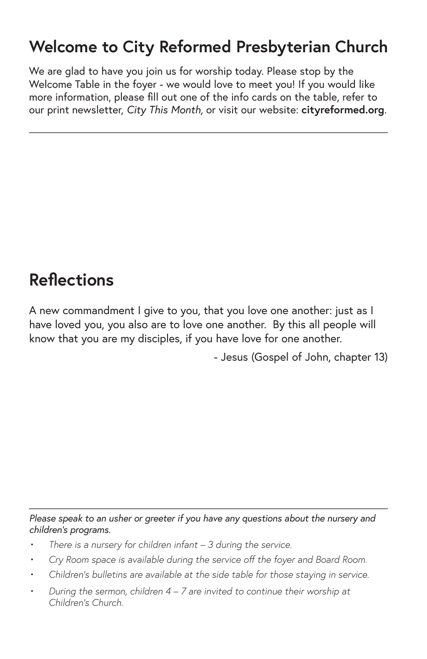#### **Welcome to City Reformed Presbyterian Church**

We are glad to have you join us for worship today. Please stop by the Welcome Table in the foyer - we would love to meet you! If you would like more information, please fill out one of the info cards on the table, refer to our print newsletter, *City This Month,* or visit our website: **cityreformed.org**.

### **Reflections**

A new commandment I give to you, that you love one another: just as I have loved you, you also are to love one another. By this all people will know that you are my disciples, if you have love for one another.

- Jesus (Gospel of John, chapter 13)

*Please speak to an usher or greeter if you have any questions about the nursery and children's programs.*

- *• There is a nursery for children infant 3 during the service.*
- *• Cry Room space is available during the service off the foyer and Board Room.*
- *• Children's bulletins are available at the side table for those staying in service.*
- *• During the sermon, children 4 7 are invited to continue their worship at Children's Church.*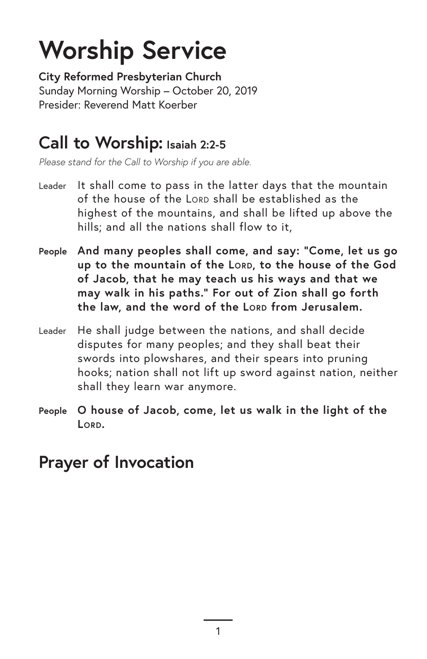# **Worship Service**

**City Reformed Presbyterian Church** Sunday Morning Worship – October 20, 2019 Presider: Reverend Matt Koerber

#### **Call to Worship: Isaiah 2:2-5**

*Please stand for the Call to Worship if you are able.*

- Leader It shall come to pass in the latter days that the mountain of the house of the LORD shall be established as the highest of the mountains, and shall be lifted up above the hills; and all the nations shall flow to it.
- **People And many peoples shall come, and say: "Come, let us go up to the mountain of the Lord, to the house of the God of Jacob, that he may teach us his ways and that we may walk in his paths." For out of Zion shall go forth the law, and the word of the Lord from Jerusalem.**
- Leader He shall judge between the nations, and shall decide disputes for many peoples; and they shall beat their swords into plowshares, and their spears into pruning hooks; nation shall not lift up sword against nation, neither shall they learn war anymore.
- **People O house of Jacob, come, let us walk in the light of the Lord.**

### **Prayer of Invocation**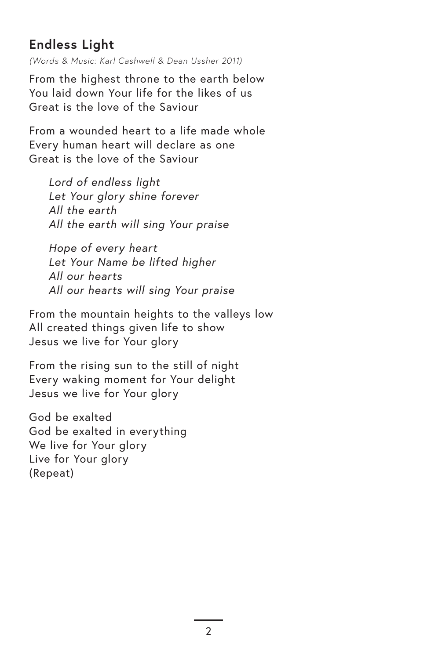#### **Endless Light**

*(Words & Music: Karl Cashwell & Dean Ussher 2011)*

From the highest throne to the earth below You laid down Your life for the likes of us Great is the love of the Saviour

From a wounded heart to a life made whole Every human heart will declare as one Great is the love of the Saviour

*Lord of endless light Let Your glory shine forever All the earth All the earth will sing Your praise*

*Hope of every heart Let Your Name be lifted higher All our hearts All our hearts will sing Your praise*

From the mountain heights to the valleys low All created things given life to show Jesus we live for Your glory

From the rising sun to the still of night Every waking moment for Your delight Jesus we live for Your glory

God be exalted God be exalted in everything We live for Your glory Live for Your glory (Repeat)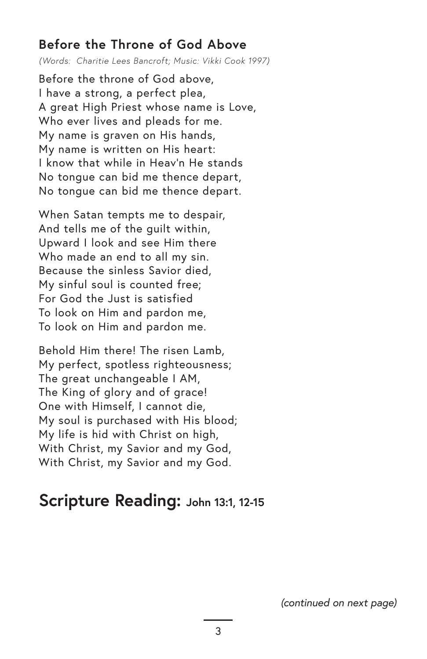#### **Before the Throne of God Above**

*(Words: Charitie Lees Bancroft; Music: Vikki Cook 1997)*

Before the throne of God above, I have a strong, a perfect plea, A great High Priest whose name is Love, Who ever lives and pleads for me. My name is graven on His hands, My name is written on His heart: I know that while in Heav'n He stands No tongue can bid me thence depart, No tongue can bid me thence depart.

When Satan tempts me to despair, And tells me of the guilt within, Upward I look and see Him there Who made an end to all my sin. Because the sinless Savior died, My sinful soul is counted free; For God the Just is satisfied To look on Him and pardon me, To look on Him and pardon me.

Behold Him there! The risen Lamb, My perfect, spotless righteousness; The great unchangeable I AM, The King of glory and of grace! One with Himself, I cannot die, My soul is purchased with His blood; My life is hid with Christ on high, With Christ, my Savior and my God, With Christ, my Savior and my God.

#### **Scripture Reading: John 13:1, 12-15**

*(continued on next page)*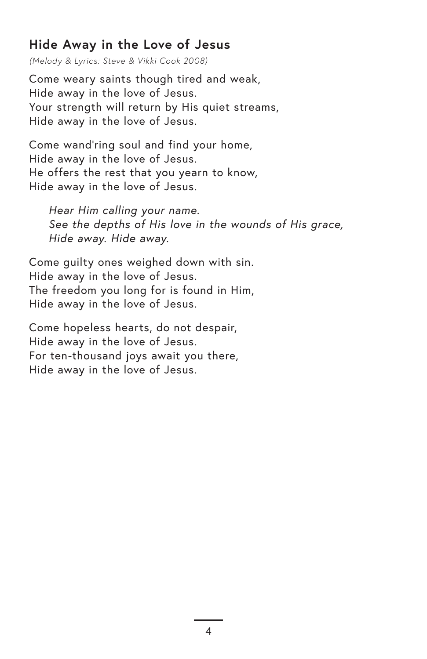#### **Hide Away in the Love of Jesus**

*(Melody & Lyrics: Steve & Vikki Cook 2008)*

Come weary saints though tired and weak, Hide away in the love of Jesus. Your strength will return by His quiet streams, Hide away in the love of Jesus.

Come wand'ring soul and find your home, Hide away in the love of Jesus. He offers the rest that you yearn to know, Hide away in the love of Jesus.

*Hear Him calling your name. See the depths of His love in the wounds of His grace, Hide away. Hide away.*

Come guilty ones weighed down with sin. Hide away in the love of Jesus. The freedom you long for is found in Him, Hide away in the love of Jesus.

Come hopeless hearts, do not despair, Hide away in the love of Jesus. For ten-thousand joys await you there, Hide away in the love of Jesus.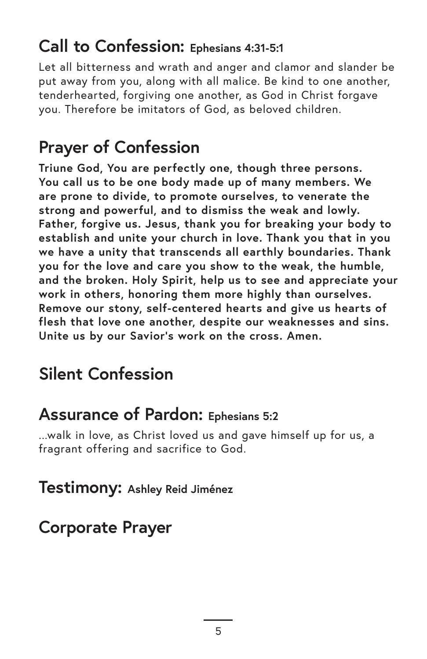#### **Call to Confession: Ephesians 4:31-5:1**

Let all bitterness and wrath and anger and clamor and slander be put away from you, along with all malice. Be kind to one another, tenderhearted, forgiving one another, as God in Christ forgave you. Therefore be imitators of God, as beloved children.

# **Prayer of Confession**

**Triune God, You are perfectly one, though three persons. You call us to be one body made up of many members. We are prone to divide, to promote ourselves, to venerate the strong and powerful, and to dismiss the weak and lowly. Father, forgive us. Jesus, thank you for breaking your body to establish and unite your church in love. Thank you that in you we have a unity that transcends all earthly boundaries. Thank you for the love and care you show to the weak, the humble, and the broken. Holy Spirit, help us to see and appreciate your work in others, honoring them more highly than ourselves. Remove our stony, self-centered hearts and give us hearts of flesh that love one another, despite our weaknesses and sins. Unite us by our Savior's work on the cross. Amen.** 

# **Silent Confession**

#### **Assurance of Pardon: Ephesians 5:2**

...walk in love, as Christ loved us and gave himself up for us, a fragrant offering and sacrifice to God.

**Testimony: Ashley Reid Jiménez**

#### **Corporate Prayer**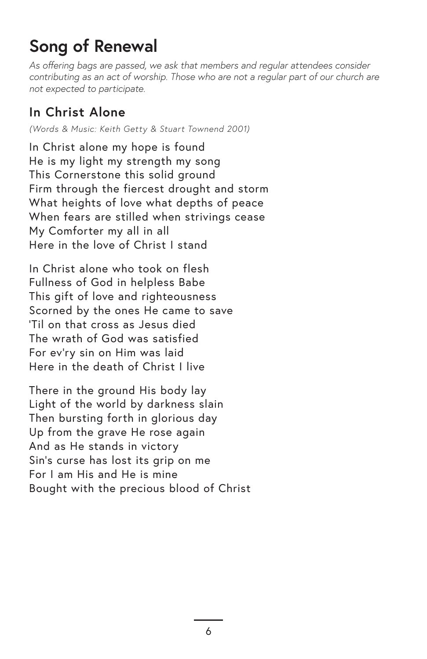# **Song of Renewal**

*As offering bags are passed, we ask that members and regular attendees consider contributing as an act of worship. Those who are not a regular part of our church are not expected to participate.*

#### **In Christ Alone**

*(Words & Music: Keith Getty & Stuart Townend 2001)*

In Christ alone my hope is found He is my light my strength my song This Cornerstone this solid ground Firm through the fiercest drought and storm What heights of love what depths of peace When fears are stilled when strivings cease My Comforter my all in all Here in the love of Christ I stand

In Christ alone who took on flesh Fullness of God in helpless Babe This gift of love and righteousness Scorned by the ones He came to save 'Til on that cross as Jesus died The wrath of God was satisfied For ev'ry sin on Him was laid Here in the death of Christ I live

There in the ground His body lay Light of the world by darkness slain Then bursting forth in glorious day Up from the grave He rose again And as He stands in victory Sin's curse has lost its grip on me For I am His and He is mine Bought with the precious blood of Christ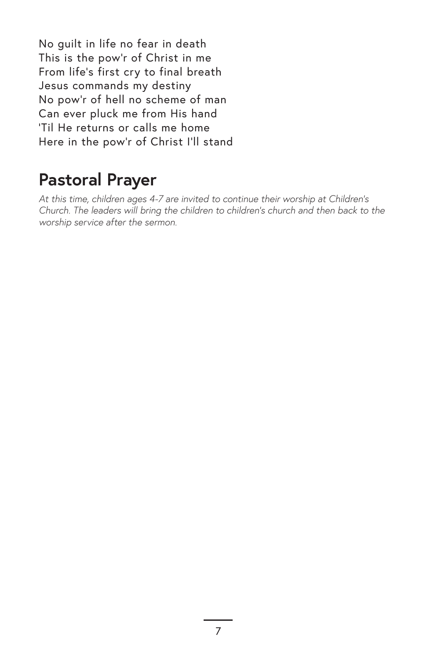No guilt in life no fear in death This is the pow'r of Christ in me From life's first cry to final breath Jesus commands my destiny No pow'r of hell no scheme of man Can ever pluck me from His hand 'Til He returns or calls me home Here in the pow'r of Christ I'll stand

# **Pastoral Prayer**

*At this time, children ages 4-7 are invited to continue their worship at Children's Church. The leaders will bring the children to children's church and then back to the worship service after the sermon.*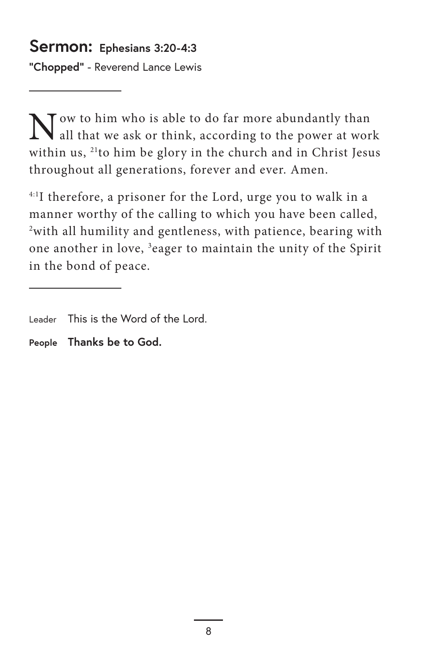#### **Sermon: Ephesians 3:20-4:3**

**"Chopped"** - Reverend Lance Lewis

Now to him who is able to do far more abundantly than all that we ask or think, according to the power at work within us, <sup>21</sup>to him be glory in the church and in Christ Jesus throughout all generations, forever and ever. Amen.

4:1I therefore, a prisoner for the Lord, urge you to walk in a manner worthy of the calling to which you have been called, 2 with all humility and gentleness, with patience, bearing with one another in love, <sup>3</sup>eager to maintain the unity of the Spirit in the bond of peace.

Leader This is the Word of the Lord.

**People Thanks be to God.**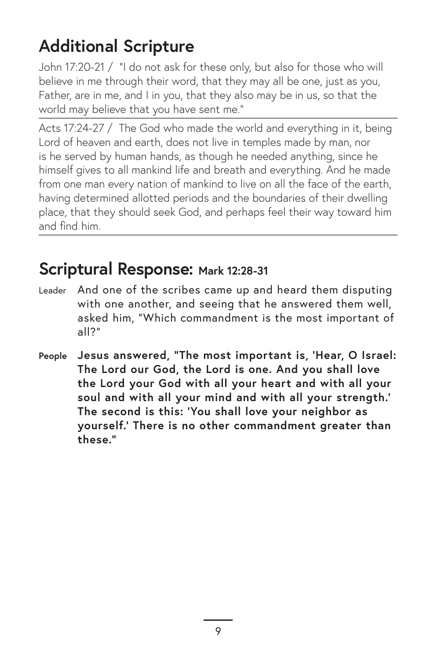# **Additional Scripture**

John 17:20-21 / "I do not ask for these only, but also for those who will believe in me through their word, that they may all be one, just as you, Father, are in me, and I in you, that they also may be in us, so that the world may believe that you have sent me."

Acts 17:24-27 / The God who made the world and everything in it, being Lord of heaven and earth, does not live in temples made by man, nor is he served by human hands, as though he needed anything, since he himself gives to all mankind life and breath and everything. And he made from one man every nation of mankind to live on all the face of the earth, having determined allotted periods and the boundaries of their dwelling place, that they should seek God, and perhaps feel their way toward him and find him.

#### **Scriptural Response: Mark 12:28-31**

- Leader And one of the scribes came up and heard them disputing with one another, and seeing that he answered them well, asked him, "Which commandment is the most important of all?"
- **People Jesus answered, "The most important is, 'Hear, O Israel: The Lord our God, the Lord is one. And you shall love the Lord your God with all your heart and with all your soul and with all your mind and with all your strength.' The second is this: 'You shall love your neighbor as yourself.' There is no other commandment greater than these."**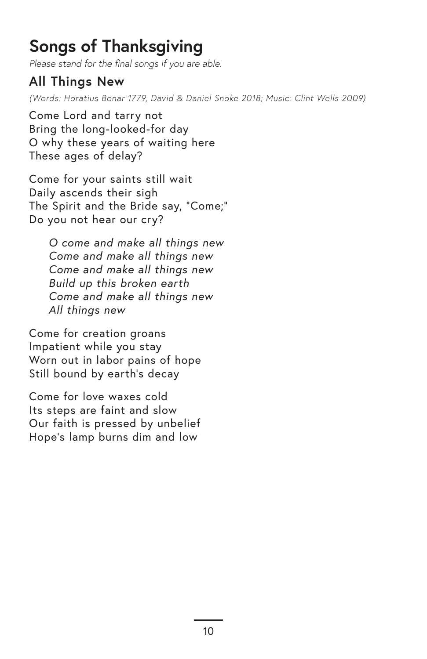# **Songs of Thanksgiving**

*Please stand for the final songs if you are able.*

#### **All Things New**

*(Words: Horatius Bonar 1779, David & Daniel Snoke 2018; Music: Clint Wells 2009)*

Come Lord and tarry not Bring the long-looked-for day O why these years of waiting here These ages of delay?

Come for your saints still wait Daily ascends their sigh The Spirit and the Bride say, "Come;" Do you not hear our cry?

> *O come and make all things new Come and make all things new Come and make all things new Build up this broken earth Come and make all things new All things new*

Come for creation groans Impatient while you stay Worn out in labor pains of hope Still bound by earth's decay

Come for love waxes cold Its steps are faint and slow Our faith is pressed by unbelief Hope's lamp burns dim and low